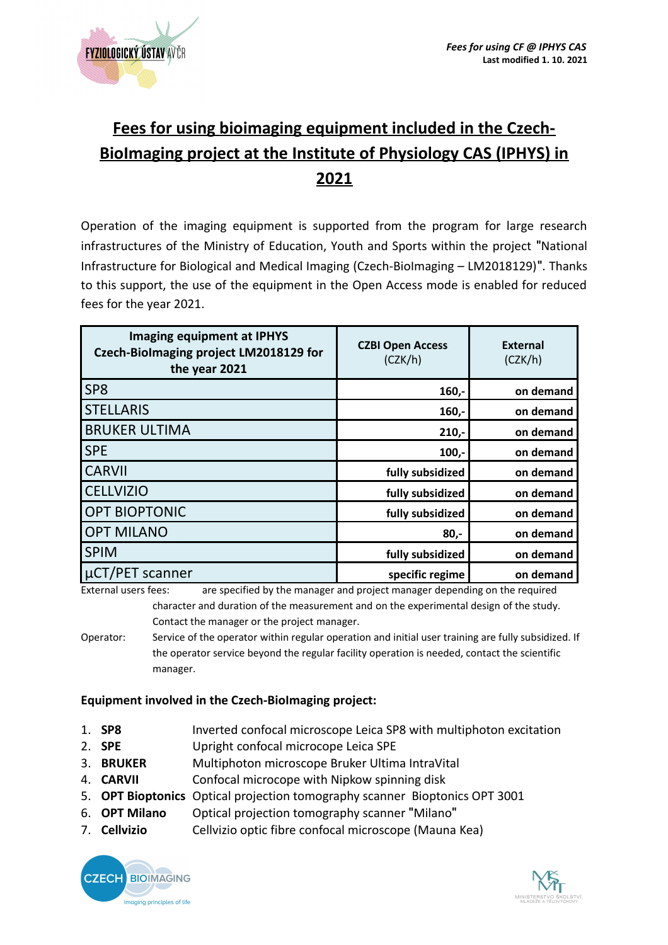

# **Fees for using bioimaging equipment included in the Czech-BioImaging project at the Institute of Physiology CAS (IPHYS) in 2021**

Operation of the imaging equipment is supported from the program for large research infrastructures of the Ministry of Education, Youth and Sports within the project "National Infrastructure for Biological and Medical Imaging (Czech-BioImaging – LM2018129)". Thanks to this support, the use of the equipment in the Open Access mode is enabled for reduced fees for the year 2021.

| <b>Imaging equipment at IPHYS</b><br>Czech-Biolmaging project LM2018129 for<br>the year 2021 | <b>CZBI Open Access</b><br>(CZK/h) | <b>External</b><br>(CZK/h) |
|----------------------------------------------------------------------------------------------|------------------------------------|----------------------------|
| SP <sub>8</sub>                                                                              | $160,-$                            | on demand                  |
| <b>STELLARIS</b>                                                                             | $160,-$                            | on demand                  |
| <b>BRUKER ULTIMA</b>                                                                         | $210,-$                            | on demand                  |
| <b>SPE</b>                                                                                   | $100,-$                            | on demand                  |
| <b>CARVII</b>                                                                                | fully subsidized                   | on demand                  |
| <b>CELLVIZIO</b>                                                                             | fully subsidized                   | on demand                  |
| <b>OPT BIOPTONIC</b>                                                                         | fully subsidized                   | on demand                  |
| <b>OPT MILANO</b>                                                                            | $80 -$                             | on demand                  |
| <b>SPIM</b>                                                                                  | fully subsidized                   | on demand                  |
| uCT/PET scanner<br>$\mathbf{r}$ , and the set of $\mathbf{r}$                                | specific regime                    | on demand                  |

External users fees: are specified by the manager and project manager depending on the required character and duration of the measurement and on the experimental design of the study. Contact the manager or the project manager.

Operator: Service of the operator within regular operation and initial user training are fully subsidized. If the operator service beyond the regular facility operation is needed, contact the scientific manager.

# **Equipment involved in the Czech-BioImaging project:**

- 1. **SP8** Inverted confocal microscope Leica SP8 with multiphoton excitation
- 2. **SPE** Upright confocal microcope Leica SPE
- 3. **BRUKER** Multiphoton microscope Bruker Ultima IntraVital
- 4. **CARVII** Confocal microcope with Nipkow spinning disk
- 5. **OPT Bioptonics** Optical projection tomography scanner Bioptonics OPT 3001
- 6. **OPT Milano** Optical projection tomography scanner "Milano"
- 7. **Cellvizio** Cellvizio optic fibre confocal microscope (Mauna Kea)



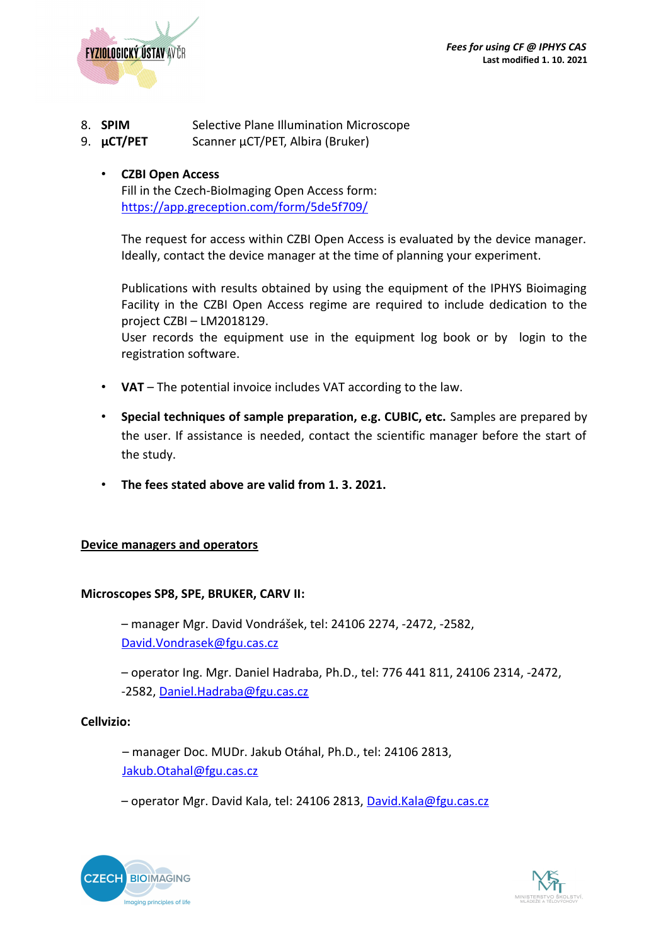

- 8. **SPIM** Selective Plane Illumination Microscope
- 9. **µCT/PET** Scanner µCT/PET, Albira (Bruker)

# • **CZBI Open Access**

Fill in the Czech-BioImaging Open Access form: <https://app.greception.com/form/5de5f709/>

The request for access within CZBI Open Access is evaluated by the device manager. Ideally, contact the device manager at the time of planning your experiment.

Publications with results obtained by using the equipment of the IPHYS Bioimaging Facility in the CZBI Open Access regime are required to include dedication to the project CZBI – LM2018129.

User records the equipment use in the equipment log book or by login to the registration software.

- **VAT** The potential invoice includes VAT according to the law.
- **Special techniques of sample preparation, e.g. CUBIC, etc.** Samples are prepared by the user. If assistance is needed, contact the scientific manager before the start of the study.
- **The fees stated above are valid from 1. 3. 2021.**

#### **Device managers and operators**

#### **Microscopes SP8, SPE, BRUKER, CARV II:**

– manager Mgr. David Vondrášek, tel: 24106 2274, -2472, -2582, [David.Vondrasek@fgu.cas.cz](mailto:David.Vondrasek@fgu.cas.cz)

– operator Ing. Mgr. Daniel Hadraba, Ph.D., tel: 776 441 811, 24106 2314, -2472, -2582, [Daniel.Hadraba@fgu.cas.cz](mailto:Daniel.Hadraba@fgu.cas.cz)

#### **Cellvizio:**

– manager Doc. MUDr. Jakub Otáhal, Ph.D., tel: 24106 2813, [Jakub.Otahal@fgu.cas.cz](mailto:Jakub.Otahal@fgu.cas.cz)

– operator Mgr. David Kala, tel: 24106 2813, [David.Kala@fgu.cas.cz](mailto:David.Kala@fgu.cas.cz)